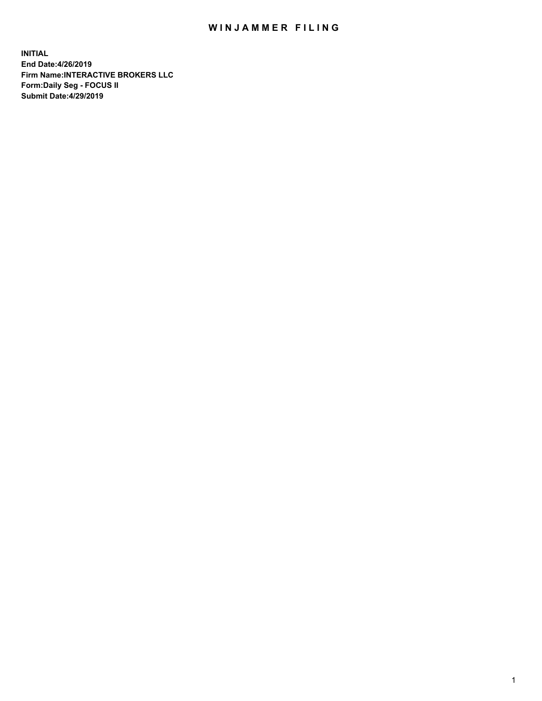## WIN JAMMER FILING

**INITIAL End Date:4/26/2019 Firm Name:INTERACTIVE BROKERS LLC Form:Daily Seg - FOCUS II Submit Date:4/29/2019**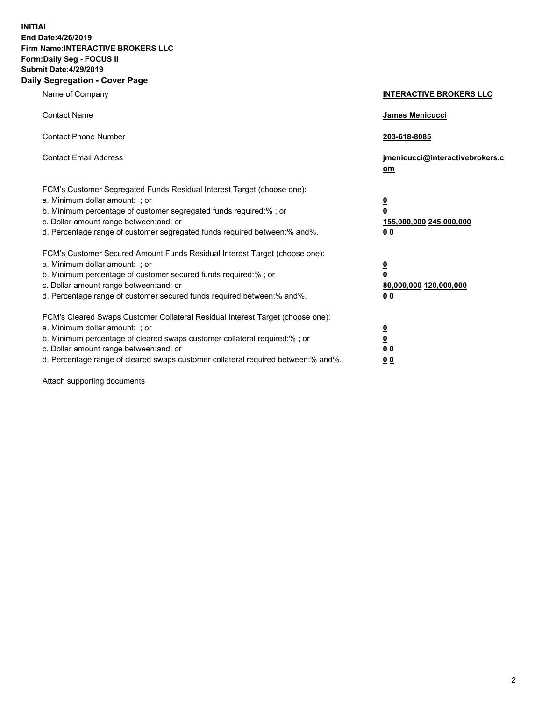**INITIAL End Date:4/26/2019 Firm Name:INTERACTIVE BROKERS LLC Form:Daily Seg - FOCUS II Submit Date:4/29/2019 Daily Segregation - Cover Page**

| Name of Company                                                                                                                                                                                                                                                                                                                | <b>INTERACTIVE BROKERS LLC</b>                                                                  |
|--------------------------------------------------------------------------------------------------------------------------------------------------------------------------------------------------------------------------------------------------------------------------------------------------------------------------------|-------------------------------------------------------------------------------------------------|
| <b>Contact Name</b>                                                                                                                                                                                                                                                                                                            | James Menicucci                                                                                 |
| <b>Contact Phone Number</b>                                                                                                                                                                                                                                                                                                    | 203-618-8085                                                                                    |
| <b>Contact Email Address</b>                                                                                                                                                                                                                                                                                                   | jmenicucci@interactivebrokers.c<br>om                                                           |
| FCM's Customer Segregated Funds Residual Interest Target (choose one):<br>a. Minimum dollar amount: ; or<br>b. Minimum percentage of customer segregated funds required:% ; or<br>c. Dollar amount range between: and; or<br>d. Percentage range of customer segregated funds required between:% and%.                         | $\overline{\mathbf{0}}$<br>$\overline{\mathbf{0}}$<br>155,000,000 245,000,000<br>0 <sub>0</sub> |
| FCM's Customer Secured Amount Funds Residual Interest Target (choose one):<br>a. Minimum dollar amount: ; or<br>b. Minimum percentage of customer secured funds required:% ; or<br>c. Dollar amount range between: and; or<br>d. Percentage range of customer secured funds required between:% and%.                           | $\overline{\mathbf{0}}$<br>0<br>80,000,000 120,000,000<br>0 <sub>0</sub>                        |
| FCM's Cleared Swaps Customer Collateral Residual Interest Target (choose one):<br>a. Minimum dollar amount: ; or<br>b. Minimum percentage of cleared swaps customer collateral required:% ; or<br>c. Dollar amount range between: and; or<br>d. Percentage range of cleared swaps customer collateral required between:% and%. | $\overline{\mathbf{0}}$<br><u>0</u><br>$\underline{0}$ $\underline{0}$<br>00                    |

Attach supporting documents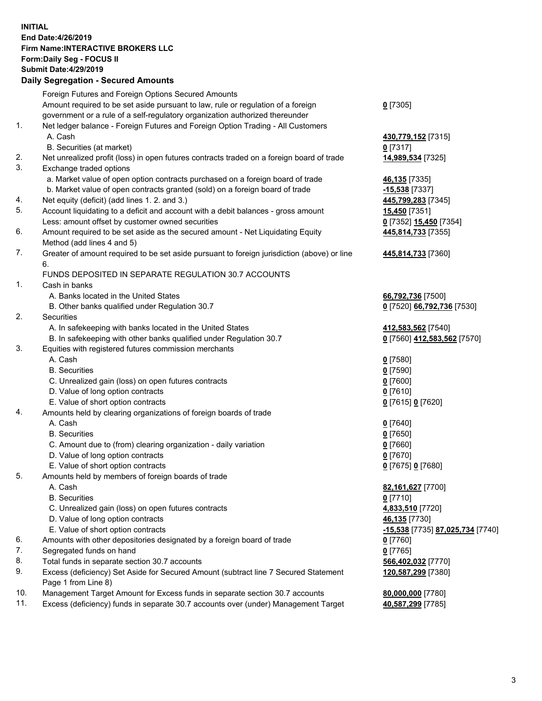## **INITIAL End Date:4/26/2019 Firm Name:INTERACTIVE BROKERS LLC Form:Daily Seg - FOCUS II Submit Date:4/29/2019 Daily Segregation - Secured Amounts**

|                | Dany Ocgregation - Oceaned Anioante                                                               |                                                      |
|----------------|---------------------------------------------------------------------------------------------------|------------------------------------------------------|
|                | Foreign Futures and Foreign Options Secured Amounts                                               |                                                      |
|                | Amount required to be set aside pursuant to law, rule or regulation of a foreign                  | $0$ [7305]                                           |
|                | government or a rule of a self-regulatory organization authorized thereunder                      |                                                      |
| 1.             | Net ledger balance - Foreign Futures and Foreign Option Trading - All Customers                   |                                                      |
|                | A. Cash                                                                                           | 430,779,152 [7315]                                   |
|                | B. Securities (at market)                                                                         | $0$ [7317]                                           |
| 2.             | Net unrealized profit (loss) in open futures contracts traded on a foreign board of trade         | 14,989,534 [7325]                                    |
| 3.             | Exchange traded options                                                                           |                                                      |
|                | a. Market value of open option contracts purchased on a foreign board of trade                    | 46,135 [7335]                                        |
|                | b. Market value of open contracts granted (sold) on a foreign board of trade                      | $-15,538$ [7337]                                     |
| 4.             | Net equity (deficit) (add lines 1. 2. and 3.)                                                     | 445,799,283 [7345]                                   |
| 5.             | Account liquidating to a deficit and account with a debit balances - gross amount                 | <b>15,450</b> [7351]                                 |
|                | Less: amount offset by customer owned securities                                                  | 0 [7352] 15,450 [7354]                               |
| 6.             | Amount required to be set aside as the secured amount - Net Liquidating Equity                    | 445,814,733 [7355]                                   |
|                | Method (add lines 4 and 5)                                                                        |                                                      |
| 7.             | Greater of amount required to be set aside pursuant to foreign jurisdiction (above) or line<br>6. | 445,814,733 [7360]                                   |
|                | FUNDS DEPOSITED IN SEPARATE REGULATION 30.7 ACCOUNTS                                              |                                                      |
| $\mathbf{1}$ . | Cash in banks                                                                                     |                                                      |
|                | A. Banks located in the United States                                                             | 66,792,736 [7500]                                    |
|                | B. Other banks qualified under Regulation 30.7                                                    | 0 [7520] 66,792,736 [7530]                           |
| 2.             | Securities                                                                                        |                                                      |
|                | A. In safekeeping with banks located in the United States                                         | 412,583,562 [7540]                                   |
|                | B. In safekeeping with other banks qualified under Regulation 30.7                                | 0 [7560] 412,583,562 [7570]                          |
| 3.             | Equities with registered futures commission merchants                                             |                                                      |
|                | A. Cash                                                                                           | $0$ [7580]                                           |
|                | <b>B.</b> Securities                                                                              | $0$ [7590]                                           |
|                | C. Unrealized gain (loss) on open futures contracts                                               | $0$ [7600]                                           |
|                | D. Value of long option contracts                                                                 | $0$ [7610]                                           |
|                | E. Value of short option contracts                                                                | 0 [7615] 0 [7620]                                    |
| 4.             | Amounts held by clearing organizations of foreign boards of trade                                 |                                                      |
|                | A. Cash                                                                                           | $0$ [7640]                                           |
|                | <b>B.</b> Securities                                                                              | $0$ [7650]                                           |
|                | C. Amount due to (from) clearing organization - daily variation                                   | $0$ [7660]                                           |
|                | D. Value of long option contracts                                                                 | $0$ [7670]                                           |
|                | E. Value of short option contracts                                                                | 0 [7675] 0 [7680]                                    |
| 5.             | Amounts held by members of foreign boards of trade                                                |                                                      |
|                | A. Cash                                                                                           | 82,161,627 [7700]                                    |
|                | <b>B.</b> Securities                                                                              | $0$ [7710]                                           |
|                | C. Unrealized gain (loss) on open futures contracts                                               | 4,833,510 [7720]                                     |
|                | D. Value of long option contracts                                                                 | 46,135 [7730]                                        |
|                | E. Value of short option contracts                                                                | <mark>-15,538</mark> [7735] <u>87,025,734</u> [7740] |
| 6.             | Amounts with other depositories designated by a foreign board of trade                            | 0 [7760]                                             |
| 7.             | Segregated funds on hand                                                                          | $0$ [7765]                                           |
| 8.             | Total funds in separate section 30.7 accounts                                                     | 566,402,032 [7770]                                   |
| 9.             | Excess (deficiency) Set Aside for Secured Amount (subtract line 7 Secured Statement               | 120,587,299 [7380]                                   |
|                | Page 1 from Line 8)                                                                               |                                                      |
| 10.            | Management Target Amount for Excess funds in separate section 30.7 accounts                       | 80,000,000 [7780]                                    |
| 11.            | Excess (deficiency) funds in separate 30.7 accounts over (under) Management Target                | 40,587,299 [7785]                                    |
|                |                                                                                                   |                                                      |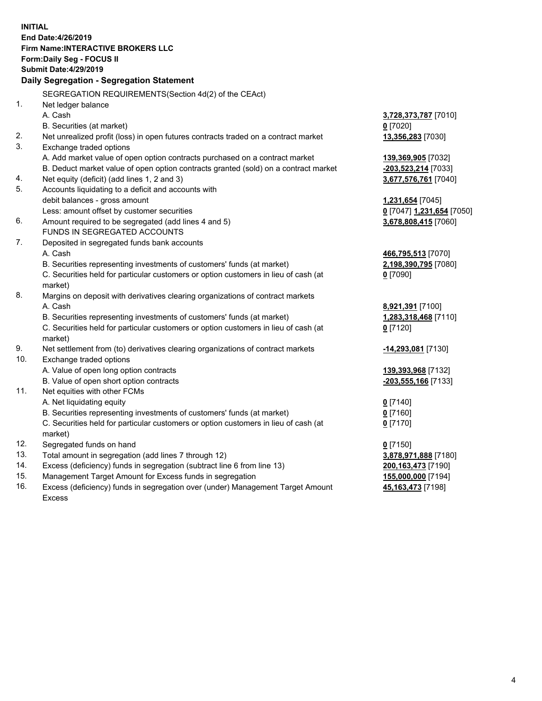**INITIAL End Date:4/26/2019 Firm Name:INTERACTIVE BROKERS LLC Form:Daily Seg - FOCUS II Submit Date:4/29/2019 Daily Segregation - Segregation Statement** SEGREGATION REQUIREMENTS(Section 4d(2) of the CEAct) 1. Net ledger balance A. Cash **3,728,373,787** [7010] B. Securities (at market) **0** [7020] 2. Net unrealized profit (loss) in open futures contracts traded on a contract market **13,356,283** [7030] 3. Exchange traded options A. Add market value of open option contracts purchased on a contract market **139,369,905** [7032] B. Deduct market value of open option contracts granted (sold) on a contract market **-203,523,214** [7033] 4. Net equity (deficit) (add lines 1, 2 and 3) **3,677,576,761** [7040] 5. Accounts liquidating to a deficit and accounts with debit balances - gross amount **1,231,654** [7045] Less: amount offset by customer securities **0** [7047] **1,231,654** [7050] 6. Amount required to be segregated (add lines 4 and 5) **3,678,808,415** [7060] FUNDS IN SEGREGATED ACCOUNTS 7. Deposited in segregated funds bank accounts A. Cash **466,795,513** [7070] B. Securities representing investments of customers' funds (at market) **2,198,390,795** [7080] C. Securities held for particular customers or option customers in lieu of cash (at market) **0** [7090] 8. Margins on deposit with derivatives clearing organizations of contract markets A. Cash **8,921,391** [7100] B. Securities representing investments of customers' funds (at market) **1,283,318,468** [7110] C. Securities held for particular customers or option customers in lieu of cash (at market) **0** [7120] 9. Net settlement from (to) derivatives clearing organizations of contract markets **-14,293,081** [7130] 10. Exchange traded options A. Value of open long option contracts **139,393,968** [7132] B. Value of open short option contracts **-203,555,166** [7133] 11. Net equities with other FCMs A. Net liquidating equity **0** [7140] B. Securities representing investments of customers' funds (at market) **0** [7160] C. Securities held for particular customers or option customers in lieu of cash (at market) **0** [7170] 12. Segregated funds on hand **0** [7150] 13. Total amount in segregation (add lines 7 through 12) **3,878,971,888** [7180] 14. Excess (deficiency) funds in segregation (subtract line 6 from line 13) **200,163,473** [7190] 15. Management Target Amount for Excess funds in segregation **155,000,000** [7194] 16. Excess (deficiency) funds in segregation over (under) Management Target Amount **45,163,473** [7198]

Excess